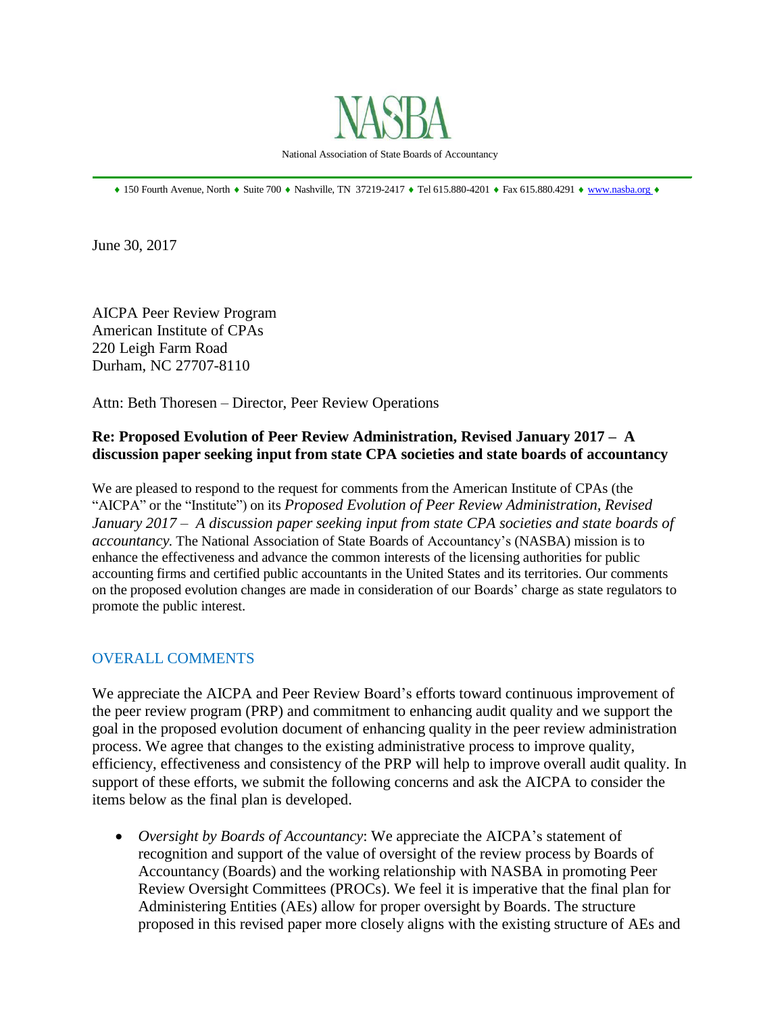

National Association of State Boards of Accountancy

 $\bullet$  150 Fourth Avenue, North  $\bullet$  Suite 700  $\bullet$  Nashville, TN 37219-2417  $\bullet$  Tel 615.880-4201  $\bullet$  Fax 615.880.4291  $\bullet$  [www.nasba.org](http://www.nasba.org/)  $\bullet$ 

June 30, 2017

AICPA Peer Review Program American Institute of CPAs 220 Leigh Farm Road Durham, NC 27707-8110

Attn: Beth Thoresen – Director, Peer Review Operations

## **Re: Proposed Evolution of Peer Review Administration, Revised January 2017 – A discussion paper seeking input from state CPA societies and state boards of accountancy**

We are pleased to respond to the request for comments from the American Institute of CPAs (the "AICPA" or the "Institute") on its *Proposed Evolution of Peer Review Administration, Revised January 2017 – A discussion paper seeking input from state CPA societies and state boards of accountancy.* The National Association of State Boards of Accountancy's (NASBA) mission is to enhance the effectiveness and advance the common interests of the licensing authorities for public accounting firms and certified public accountants in the United States and its territories. Our comments on the proposed evolution changes are made in consideration of our Boards' charge as state regulators to promote the public interest.

## OVERALL COMMENTS

We appreciate the AICPA and Peer Review Board's efforts toward continuous improvement of the peer review program (PRP) and commitment to enhancing audit quality and we support the goal in the proposed evolution document of enhancing quality in the peer review administration process. We agree that changes to the existing administrative process to improve quality, efficiency, effectiveness and consistency of the PRP will help to improve overall audit quality. In support of these efforts, we submit the following concerns and ask the AICPA to consider the items below as the final plan is developed.

 *Oversight by Boards of Accountancy*: We appreciate the AICPA's statement of recognition and support of the value of oversight of the review process by Boards of Accountancy (Boards) and the working relationship with NASBA in promoting Peer Review Oversight Committees (PROCs). We feel it is imperative that the final plan for Administering Entities (AEs) allow for proper oversight by Boards. The structure proposed in this revised paper more closely aligns with the existing structure of AEs and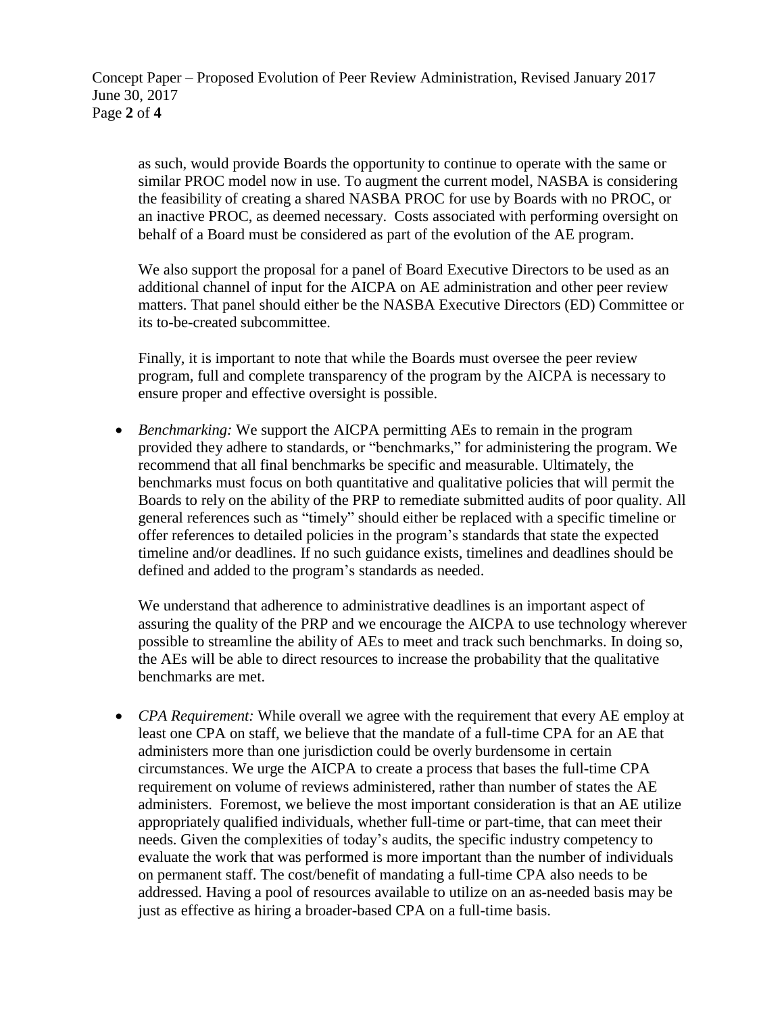as such, would provide Boards the opportunity to continue to operate with the same or similar PROC model now in use. To augment the current model, NASBA is considering the feasibility of creating a shared NASBA PROC for use by Boards with no PROC, or an inactive PROC, as deemed necessary. Costs associated with performing oversight on behalf of a Board must be considered as part of the evolution of the AE program.

We also support the proposal for a panel of Board Executive Directors to be used as an additional channel of input for the AICPA on AE administration and other peer review matters. That panel should either be the NASBA Executive Directors (ED) Committee or its to-be-created subcommittee.

Finally, it is important to note that while the Boards must oversee the peer review program, full and complete transparency of the program by the AICPA is necessary to ensure proper and effective oversight is possible.

 *Benchmarking:* We support the AICPA permitting AEs to remain in the program provided they adhere to standards, or "benchmarks," for administering the program. We recommend that all final benchmarks be specific and measurable. Ultimately, the benchmarks must focus on both quantitative and qualitative policies that will permit the Boards to rely on the ability of the PRP to remediate submitted audits of poor quality. All general references such as "timely" should either be replaced with a specific timeline or offer references to detailed policies in the program's standards that state the expected timeline and/or deadlines. If no such guidance exists, timelines and deadlines should be defined and added to the program's standards as needed.

We understand that adherence to administrative deadlines is an important aspect of assuring the quality of the PRP and we encourage the AICPA to use technology wherever possible to streamline the ability of AEs to meet and track such benchmarks. In doing so, the AEs will be able to direct resources to increase the probability that the qualitative benchmarks are met.

• *CPA Requirement:* While overall we agree with the requirement that every AE employ at least one CPA on staff, we believe that the mandate of a full-time CPA for an AE that administers more than one jurisdiction could be overly burdensome in certain circumstances. We urge the AICPA to create a process that bases the full-time CPA requirement on volume of reviews administered, rather than number of states the AE administers. Foremost, we believe the most important consideration is that an AE utilize appropriately qualified individuals, whether full-time or part-time, that can meet their needs. Given the complexities of today's audits, the specific industry competency to evaluate the work that was performed is more important than the number of individuals on permanent staff. The cost/benefit of mandating a full-time CPA also needs to be addressed. Having a pool of resources available to utilize on an as-needed basis may be just as effective as hiring a broader-based CPA on a full-time basis.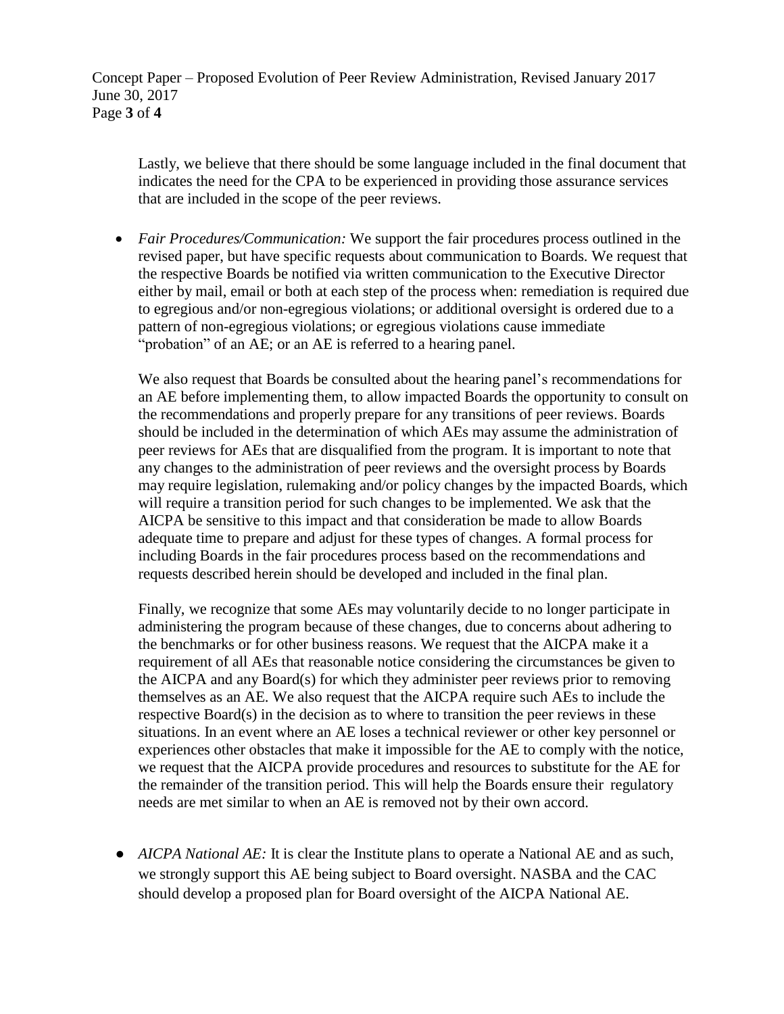Concept Paper – Proposed Evolution of Peer Review Administration, Revised January 2017 June 30, 2017 Page **3** of **4**

Lastly, we believe that there should be some language included in the final document that indicates the need for the CPA to be experienced in providing those assurance services that are included in the scope of the peer reviews.

 *Fair Procedures/Communication:* We support the fair procedures process outlined in the revised paper, but have specific requests about communication to Boards. We request that the respective Boards be notified via written communication to the Executive Director either by mail, email or both at each step of the process when: remediation is required due to egregious and/or non-egregious violations; or additional oversight is ordered due to a pattern of non-egregious violations; or egregious violations cause immediate "probation" of an AE; or an AE is referred to a hearing panel.

We also request that Boards be consulted about the hearing panel's recommendations for an AE before implementing them, to allow impacted Boards the opportunity to consult on the recommendations and properly prepare for any transitions of peer reviews. Boards should be included in the determination of which AEs may assume the administration of peer reviews for AEs that are disqualified from the program. It is important to note that any changes to the administration of peer reviews and the oversight process by Boards may require legislation, rulemaking and/or policy changes by the impacted Boards, which will require a transition period for such changes to be implemented. We ask that the AICPA be sensitive to this impact and that consideration be made to allow Boards adequate time to prepare and adjust for these types of changes. A formal process for including Boards in the fair procedures process based on the recommendations and requests described herein should be developed and included in the final plan.

Finally, we recognize that some AEs may voluntarily decide to no longer participate in administering the program because of these changes, due to concerns about adhering to the benchmarks or for other business reasons. We request that the AICPA make it a requirement of all AEs that reasonable notice considering the circumstances be given to the AICPA and any Board(s) for which they administer peer reviews prior to removing themselves as an AE. We also request that the AICPA require such AEs to include the respective Board(s) in the decision as to where to transition the peer reviews in these situations. In an event where an AE loses a technical reviewer or other key personnel or experiences other obstacles that make it impossible for the AE to comply with the notice, we request that the AICPA provide procedures and resources to substitute for the AE for the remainder of the transition period. This will help the Boards ensure their regulatory needs are met similar to when an AE is removed not by their own accord.

*● AICPA National AE:* It is clear the Institute plans to operate a National AE and as such, we strongly support this AE being subject to Board oversight. NASBA and the CAC should develop a proposed plan for Board oversight of the AICPA National AE.